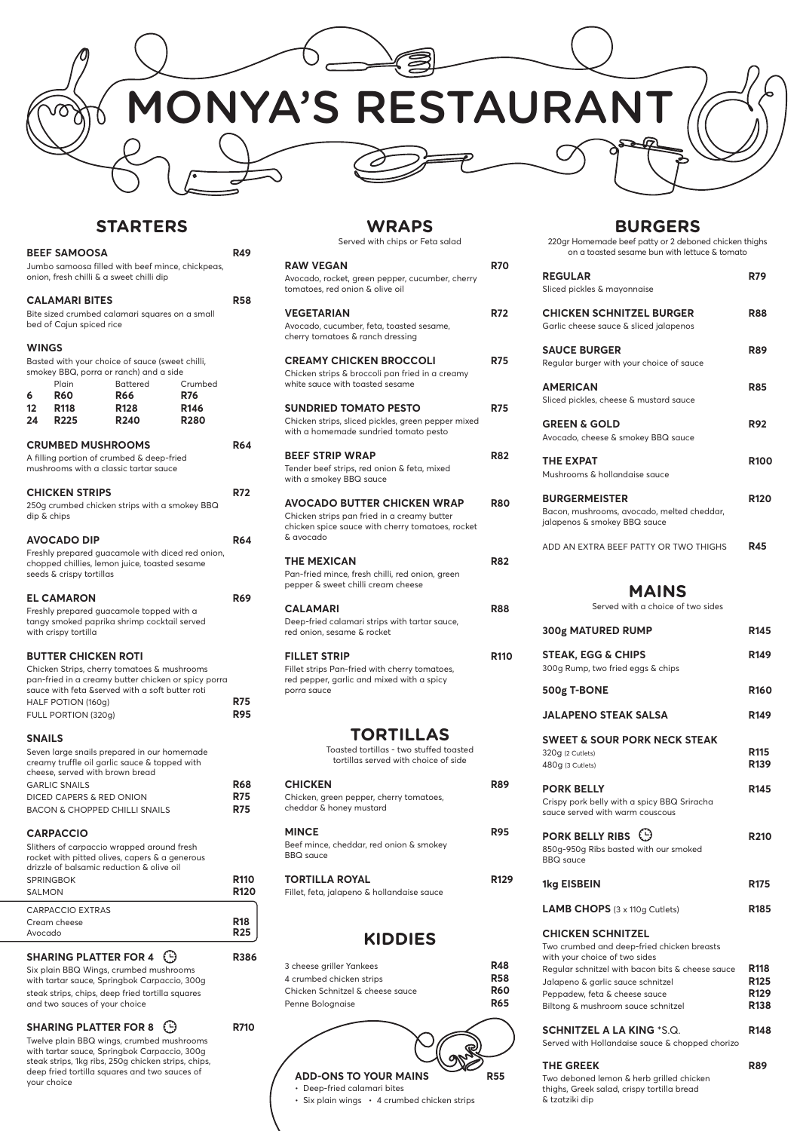| <b>BURGERS</b><br>220gr Homemade beef patty or 2 deboned chicken thighs<br>on a toasted sesame bun with lettuce & tomato |                                 |
|--------------------------------------------------------------------------------------------------------------------------|---------------------------------|
| <b>REGULAR</b><br>Sliced pickles & mayonnaise                                                                            | <b>R79</b>                      |
| <b>CHICKEN SCHNITZEL BURGER</b><br>Garlic cheese sauce & sliced jalapenos                                                | R88                             |
| <b>SAUCE BURGER</b><br>Regular burger with your choice of sauce                                                          | <b>R89</b>                      |
| <b>AMERICAN</b><br>Sliced pickles, cheese & mustard sauce                                                                | R85                             |
| <b>GREEN &amp; GOLD</b><br>Avocado, cheese & smokey BBQ sauce                                                            | <b>R92</b>                      |
| <b>THE EXPAT</b><br>Mushrooms & hollandaise sauce                                                                        | <b>R100</b>                     |
| <b>BURGERMEISTER</b><br>Bacon, mushrooms, avocado, melted cheddar,<br>jalapenos & smokey BBQ sauce                       | <b>R120</b>                     |
| ADD AN EXTRA BEEF PATTY OR TWO THIGHS                                                                                    | R45                             |
| <b>MAINS</b><br>Served with a choice of two sides                                                                        |                                 |
| 300g MATURED RUMP                                                                                                        | R145                            |
| <b>STEAK, EGG &amp; CHIPS</b><br>300g Rump, two fried eggs & chips                                                       | R <sub>149</sub>                |
| 500g T-BONE                                                                                                              | <b>R160</b>                     |
| <b>JALAPENO STEAK SALSA</b>                                                                                              | <b>R149</b>                     |
| <b>SWEET &amp; SOUR PORK NECK STEAK</b><br>320q (2 Cutlets)<br>480g (3 Cutlets)                                          | <b>R115</b><br>R <sub>139</sub> |
| <b>PORK BELLY</b>                                                                                                        | <b>R145</b>                     |

**PORK BELLY RIBS**  $\bigoplus$  **R210** 850g-950g Ribs basted with our smoked

Crispy pork belly with a spicy BBQ Sriracha sauce served with warm couscous

BBQ sauce

**1kg EISBEIN** R175

**LAMB CHOPS** (3 x 110g Cutlets) **R185** 

#### **CHICKEN SCHNITZEL**

| Two crumbed and deep-fried chicken breasts<br>with your choice of two sides |                  |
|-----------------------------------------------------------------------------|------------------|
| Regular schnitzel with bacon bits & cheese sauce                            | R <sub>118</sub> |
| Jalapeno & garlic sauce schnitzel                                           | R <sub>125</sub> |
| Peppadew, feta & cheese sauce                                               | R <sub>129</sub> |
| Biltong & mushroom sauce schnitzel                                          | <b>R138</b>      |
|                                                                             |                  |

### **SCHNITZEL A LA KING \*S.Q.** R148

Served with Hollandaise sauce & chopped chorizo

#### THE GREEK R89

Two deboned lemon & herb grilled chicken thighs, Greek salad, crispy tortilla bread & tzatziki dip



# **STARTERS**

| <b>BEEF SAMOOSA</b><br>Jumbo samoosa filled with beef mince, chickpeas,<br>onion, fresh chilli & a sweet chilli dip |                                                                         |                                                                                                                                                       | <b>R49</b>                 |                          |
|---------------------------------------------------------------------------------------------------------------------|-------------------------------------------------------------------------|-------------------------------------------------------------------------------------------------------------------------------------------------------|----------------------------|--------------------------|
|                                                                                                                     | <b>CALAMARI BITES</b><br>bed of Cajun spiced rice                       | Bite sized crumbed calamari squares on a small                                                                                                        |                            | <b>R58</b>               |
| <b>WINGS</b><br>6                                                                                                   | Plain<br><b>R60</b>                                                     | Basted with your choice of sauce (sweet chilli,<br>smokey BBQ, porra or ranch) and a side<br><b>Battered</b><br><b>R66</b>                            | Crumbed<br><b>R76</b>      |                          |
| 12<br>24 R225                                                                                                       | R <sub>118</sub>                                                        | <b>R128</b><br><b>R240</b>                                                                                                                            | <b>R146</b><br><b>R280</b> |                          |
|                                                                                                                     | <b>CRUMBED MUSHROOMS</b>                                                | A filling portion of crumbed & deep-fried<br>mushrooms with a classic tartar sauce                                                                    |                            | <b>R64</b>               |
| dip & chips                                                                                                         | <b>CHICKEN STRIPS</b>                                                   | 250g crumbed chicken strips with a smokey BBQ                                                                                                         |                            | <b>R72</b>               |
|                                                                                                                     | <b>AVOCADO DIP</b><br>seeds & crispy tortillas                          | Freshly prepared guacamole with diced red onion,<br>chopped chillies, lemon juice, toasted sesame                                                     |                            | <b>R64</b>               |
|                                                                                                                     | <b>EL CAMARON</b><br>with crispy tortilla                               | Freshly prepared guacamole topped with a<br>tangy smoked paprika shrimp cocktail served                                                               |                            | <b>R69</b>               |
|                                                                                                                     | <b>BUTTER CHICKEN ROTI</b><br>HALF POTION (160g)<br>FULL PORTION (320g) | Chicken Strips, cherry tomatoes & mushrooms<br>pan-fried in a creamy butter chicken or spicy porra<br>sauce with feta &served with a soft butter roti |                            | <b>R75</b><br><b>R95</b> |
| <b>SNAILS</b>                                                                                                       |                                                                         |                                                                                                                                                       |                            |                          |
|                                                                                                                     | cheese, served with brown bread<br><b>GARLIC SNAILS</b>                 | Seven large snails prepared in our homemade<br>creamy truffle oil garlic sauce & topped with                                                          |                            | <b>R68</b>               |

MINCE R95 Beef mince, cheddar, red onion & smokey

**TORTILLA ROYAL R129** Fillet, feta, jalapeno & hollandaise sauce

- Deep-fried calamari bites
- Six plain wings 4 crumbed chicken strips

### **CARPACCIO**

Slithers of carpaccio wrapped around fresh

| CARPACCIO EXTRAS<br>Cream cheese<br>Avocado                                                 | <b>R18</b><br>ロフち |
|---------------------------------------------------------------------------------------------|-------------------|
| SAI MON                                                                                     | <b>R120</b>       |
| <b>SPRINGBOK</b>                                                                            | <b>R110</b>       |
| rocket with pitted olives, capers & a generous<br>drizzle of balsamic reduction & olive oil |                   |

DICED CAPERS & RED ONION **R75** BACON & CHOPPED CHILLI SNAILS **R75** 

### **SHARING PLATTER FOR 4**  $\bigoplus$  **R386**

Six plain BBQ Wings, crumbed mushrooms with tartar sauce, Springbok Carpaccio, 300g steak strips, chips, deep fried tortilla squares and two sauces of your choice

### **SHARING PLATTER FOR 8**  $\bigoplus$  **R710**

Twelve plain BBQ wings, crumbed mushrooms with tartar sauce, Springbok Carpaccio, 300g steak strips, 1kg ribs, 250g chicken strips, chips, deep fried tortilla squares and two sauces of your choice

# **WRAPS**

Served with chips or Feta salad

| <b>RAW VEGAN</b>                                                                                             | <b>R70</b> |
|--------------------------------------------------------------------------------------------------------------|------------|
| Avocado, rocket, green pepper, cucumber, cherry<br>tomatoes, red onion & olive oil                           |            |
| <b>VEGETARIAN</b>                                                                                            | R72        |
| Avocado, cucumber, feta, toasted sesame,<br>cherry tomatoes & ranch dressing                                 |            |
| <b>CREAMY CHICKEN BROCCOLI</b>                                                                               | <b>R75</b> |
| Chicken strips & broccoli pan fried in a creamy<br>white sauce with toasted sesame                           |            |
| <b>SUNDRIED TOMATO PESTO</b>                                                                                 | <b>R75</b> |
| Chicken strips, sliced pickles, green pepper mixed<br>with a homemade sundried tomato pesto                  |            |
| <b>BEEF STRIP WRAP</b>                                                                                       | <b>R82</b> |
| Tender beef strips, red onion & feta, mixed<br>with a smokey BBQ sauce                                       |            |
| <b>AVOCADO BUTTER CHICKEN WRAP</b>                                                                           | R80        |
| Chicken strips pan fried in a creamy butter<br>chicken spice sauce with cherry tomatoes, rocket<br>& avocado |            |
| <b>THE MEXICAN</b>                                                                                           | R82        |
| Pan-fried mince, fresh chilli, red onion, green<br>pepper & sweet chilli cream cheese                        |            |
| <b>CALAMARI</b>                                                                                              | R88        |
| Deep-fried calamari strips with tartar sauce,<br>red onion, sesame & rocket                                  |            |
| <b>FILLET STRIP</b>                                                                                          | R110       |
| Fillet strips Pan-fried with cherry tomatoes,<br>red pepper, garlic and mixed with a spicy<br>porra sauce    |            |
|                                                                                                              |            |
| <b>TORTILLAS</b>                                                                                             |            |
| Toasted tortillas - two stuffed toasted<br>tortillas served with choice of side                              |            |
| <b>CHICKEN</b>                                                                                               | R89        |

#### Chicken, green pepper, cherry tomatoes, cheddar & honey mustard

BBQ sauce

# **KIDDIES**

| 3 cheese griller Yankees         | <b>R48</b> |
|----------------------------------|------------|
| 4 crumbed chicken strips         | <b>R58</b> |
| Chicken Schnitzel & cheese squce | <b>R60</b> |
| Penne Bolognaise                 | <b>R65</b> |

**ADD-ONS TO YOUR MAINS R55**